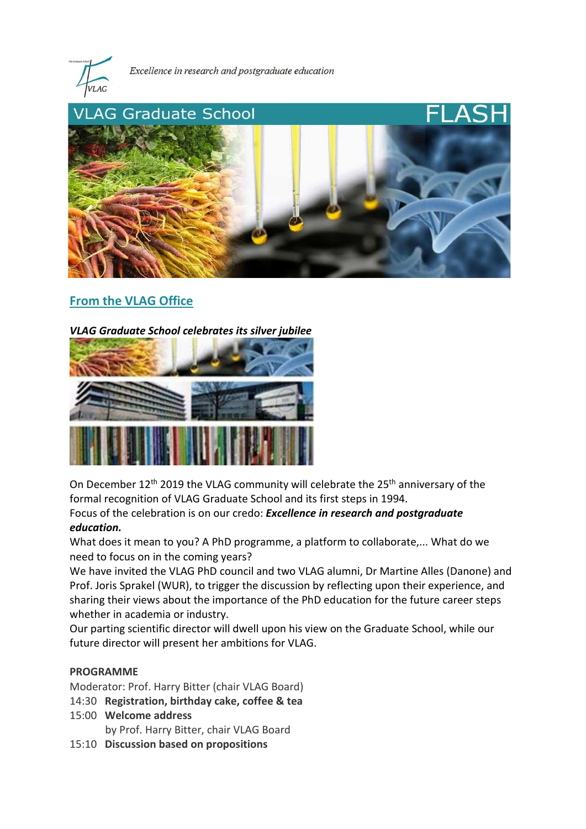

Excellence in research and postgraduate education



# **From the VLAG Office**

### *VLAG Graduate School celebrates its silver jubilee*



On December 12<sup>th</sup> 2019 the VLAG community will celebrate the 25<sup>th</sup> anniversary of the formal recognition of VLAG Graduate School and its first steps in 1994. Focus of the celebration is on our credo: *Excellence in research and postgraduate education.*

What does it mean to you? A PhD programme, a platform to collaborate,... What do we need to focus on in the coming years?

We have invited the VLAG PhD council and two VLAG alumni, Dr Martine Alles (Danone) and Prof. Joris Sprakel (WUR), to trigger the discussion by reflecting upon their experience, and sharing their views about the importance of the PhD education for the future career steps whether in academia or industry.

Our parting scientific director will dwell upon his view on the Graduate School, while our future director will present her ambitions for VLAG.

#### **PROGRAMME**

Moderator: Prof. Harry Bitter (chair VLAG Board)

- 14:30 **Registration, birthday cake, coffee & tea**
- 15:00 **Welcome address**

by Prof. Harry Bitter, chair VLAG Board

15:10 **Discussion based on propositions**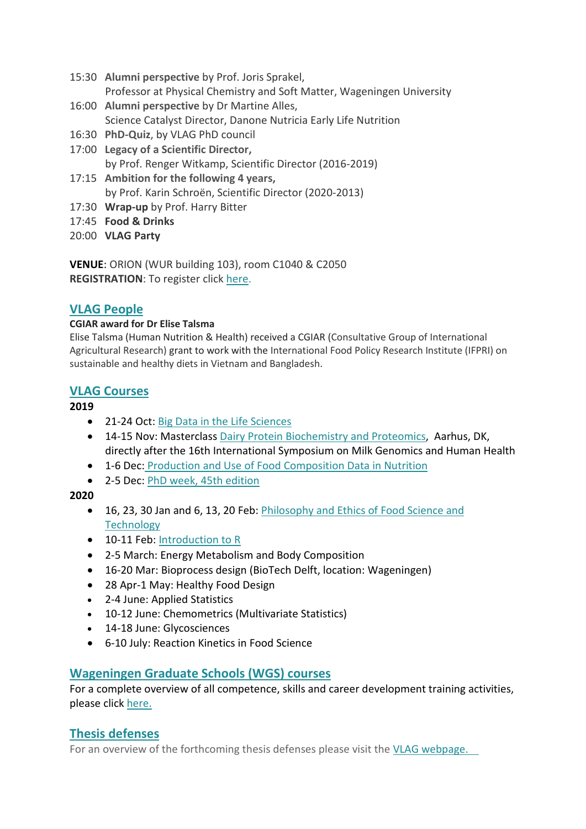- 15:30 **Alumni perspective** by Prof. Joris Sprakel, Professor at Physical Chemistry and Soft Matter, Wageningen University
- 16:00 **Alumni perspective** by Dr Martine Alles, Science Catalyst Director, Danone Nutricia Early Life Nutrition
- 16:30 **PhD-Quiz**, by VLAG PhD council
- 17:00 **Legacy of a Scientific Director,** by Prof. Renger Witkamp, Scientific Director (2016-2019)
- 17:15 **Ambition for the following 4 years,** by Prof. Karin Schroën, Scientific Director (2020-2013)
- 17:30 **Wrap-up** by Prof. Harry Bitter
- 17:45 **Food & Drinks**
- 20:00 **VLAG Party**

**VENUE**: ORION (WUR building 103), room C1040 & C2050 **REGISTRATION**: To register click [here.](https://vlag.crs.wur.nl/courses/details/376/)

# **VLAG People**

## **CGIAR award for Dr Elise Talsma**

Elise Talsma (Human Nutrition & Health) received a CGIAR (Consultative Group of International Agricultural Research) grant to work with the International Food Policy Research Institute (IFPRI) on sustainable and healthy diets in Vietnam and Bangladesh.

# **VLAG Courses**

# **2019**

- 21-24 Oct: [Big Data in the Life Sciences](https://www.vlaggraduateschool.nl/en/courses/course/BDA19.htm)
- 14-15 Nov: Masterclass [Dairy Protein Biochemistry and Proteomics,](http://phd.scitech.au.dk/for-phd-students/courses/scientific-courses/kurser-2019/food-science/dairy-protein-biochemistry-and-proteomics-2019/) Aarhus, DK, directly after the 16th International Symposium on Milk Genomics and Human Health
- 1-6 Dec: [Production and Use of Food Composition Data in Nutrition](https://www.vlaggraduateschool.nl/en/courses/course/foodcomp2019.htm)
- 2-5 Dec: [PhD week, 45th edition](https://www.vlaggraduateschool.nl/en/courses/General-courses/VLAG-general-courses/VLAG-PhD-week.htm)

# **2020**

- 16, 23, 30 Jan and 6, 13, 20 Feb: Philosophy and Ethics of Food Science and **[Technology](https://www.vlaggraduateschool.nl/en/courses/General-courses/VLAG-general-courses.htm)**
- 10-11 Feb: [Introduction to R](https://www.vlaggraduateschool.nl/en/courses/General-courses/VLAG-general-courses/VLAG-Statistics-courses/Introduction-to-R.htm)
- 2-5 March: Energy Metabolism and Body Composition
- 16-20 Mar: Bioprocess design (BioTech Delft, location: Wageningen)
- 28 Apr-1 May: Healthy Food Design
- 2-4 June: Applied Statistics
- 10-12 June: Chemometrics (Multivariate Statistics)
- 14-18 June: Glycosciences
- 6-10 July: Reaction Kinetics in Food Science

# **Wageningen Graduate Schools (WGS) courses**

For a complete overview of all competence, skills and career development training activities, please click [here.](https://wgs.crs.wur.nl/)

# **Thesis defenses**

For an overview of the forthcoming thesis defenses please visit the [VLAG webpage.](https://www.vlaggraduateschool.nl/en.htm)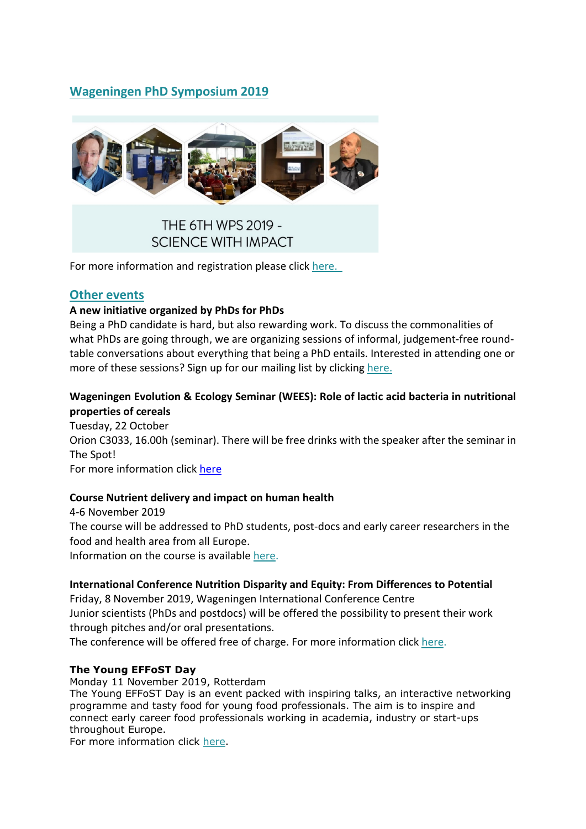# **Wageningen PhD Symposium 2019**



# THE 6TH WPS 2019 -**SCIENCE WITH IMPACT**

For more information and registration please click [here.](https://wps2019wageningen.wixsite.com/scienceimpact)

## **Other events**

#### **A new initiative organized by PhDs for PhDs**

Being a PhD candidate is hard, but also rewarding work. To discuss the commonalities of what PhDs are going through, we are organizing sessions of informal, judgement-free roundtable conversations about everything that being a PhD entails. Interested in attending one or more of these sessions? Sign up for our mailing list by clicking [here.](https://docs.google.com/forms/d/e/1FAIpQLSenCaY5XWivFlkFkfgbwxCO5xEofLJL8MUlDNkqG6Hrwx1AKA/viewform)

## **Wageningen Evolution & Ecology Seminar (WEES): Role of lactic acid bacteria in nutritional properties of cereals**

Tuesday, 22 October Orion C3033, 16.00h (seminar). There will be free drinks with the speaker after the seminar in The Spot! For more information click [here](http://www.weeswageningen.nl/)

### **Course Nutrient delivery and impact on human health**

4-6 November 2019 The course will be addressed to PhD students, post-docs and early career researchers in the food and health area from all Europe. Information on the course is available [here.](http://www.cism.it/courses/E1902/)

#### **International Conference Nutrition Disparity and Equity: From Differences to Potential**

Friday, 8 November 2019, Wageningen International Conference Centre Junior scientists (PhDs and postdocs) will be offered the possibility to present their work through pitches and/or oral presentations.

The conference will be offered free of charge. For more information click [here.](https://www.wur.nl/en/activity/Nutrition-disparity-and-equity.htm)

### **The Young EFFoST Day**

Monday 11 November 2019, Rotterdam

The Young EFFoST Day is an event packed with inspiring talks, an interactive networking programme and tasty food for young food professionals. The aim is to inspire and connect early career food professionals working in academia, industry or start-ups throughout Europe.

For more information click [here.](https://www.effost.org/members/young+effost+group/young+effost+day+2019/default.aspx)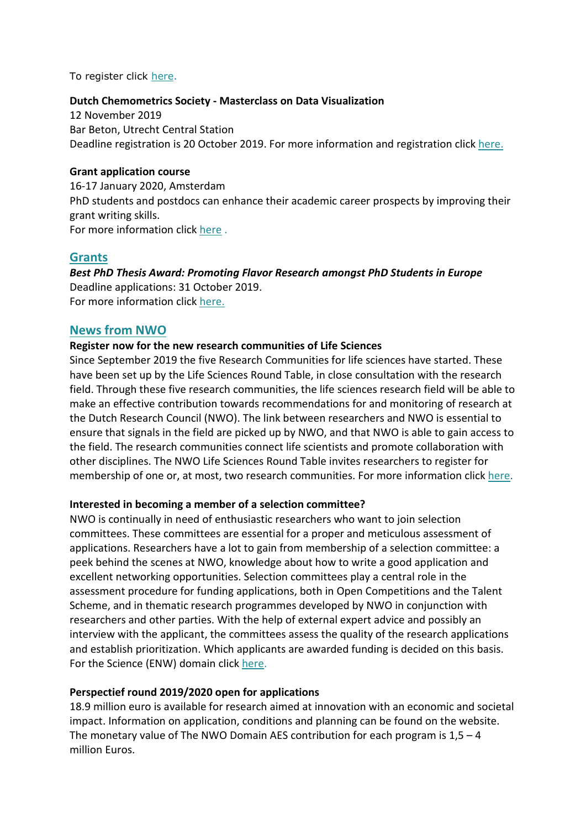To register click [here.](http://www.effostconference.com/conference-register.asp)

#### **Dutch Chemometrics Society - Masterclass on Data Visualization**

12 November 2019 Bar Beton, Utrecht Central Station Deadline registration is 20 October 2019. For more information and registration click [here.](https://dutchchemometricssociety.nl/events/symposium-2018)

#### **Grant application course**

16-17 January 2020, Amsterdam PhD students and postdocs can enhance their academic career prospects by improving their grant writing skills. For more information click [here](https://www.bcfcareer.nl/grant-application-cursus) .

## **Grants**

*Best PhD Thesis Award: Promoting Flavor Research amongst PhD Students in Europe* Deadline applications: 31 October 2019. For more information click [here.](https://www.giract.com/flavor-research-programme.php)

#### **News from NWO**

#### **Register now for the new research communities of Life Sciences**

Since September 2019 the five Research Communities for life sciences have started. These have been set up by the Life Sciences Round Table, in close consultation with the research field. Through these five research communities, the life sciences research field will be able to make an effective contribution towards recommendations for and monitoring of research at the Dutch Research Council (NWO). The link between researchers and NWO is essential to ensure that signals in the field are picked up by NWO, and that NWO is able to gain access to the field. The research communities connect life scientists and promote collaboration with other disciplines. The NWO Life Sciences Round Table invites researchers to register for membership of one or, at most, two research communities. For more information click [here.](https://www.nwo.nl/en/common/about-nwo/organisation/nwo-divisions/life/research-communities-life-sciences)

#### **Interested in becoming a member of a selection committee?**

NWO is continually in need of enthusiastic researchers who want to join selection committees. These committees are essential for a proper and meticulous assessment of applications. Researchers have a lot to gain from membership of a selection committee: a peek behind the scenes at NWO, knowledge about how to write a good application and excellent networking opportunities. Selection committees play a central role in the assessment procedure for funding applications, both in Open Competitions and the Talent Scheme, and in thematic research programmes developed by NWO in conjunction with researchers and other parties. With the help of external expert advice and possibly an interview with the applicant, the committees assess the quality of the research applications and establish prioritization. Which applicants are awarded funding is decided on this basis. For the Science (ENW) domain click [here.](https://www.nwo.nl/en/common/about-nwo/organisation/nwo-divisions/enw/membership-selection-committee)

#### **Perspectief round 2019/2020 open for applications**

18.9 million euro is available for research aimed at innovation with an economic and societal impact. Information on application, conditions and planning can be found on the website. The monetary value of The NWO Domain AES contribution for each program is  $1.5 - 4$ million Euros.